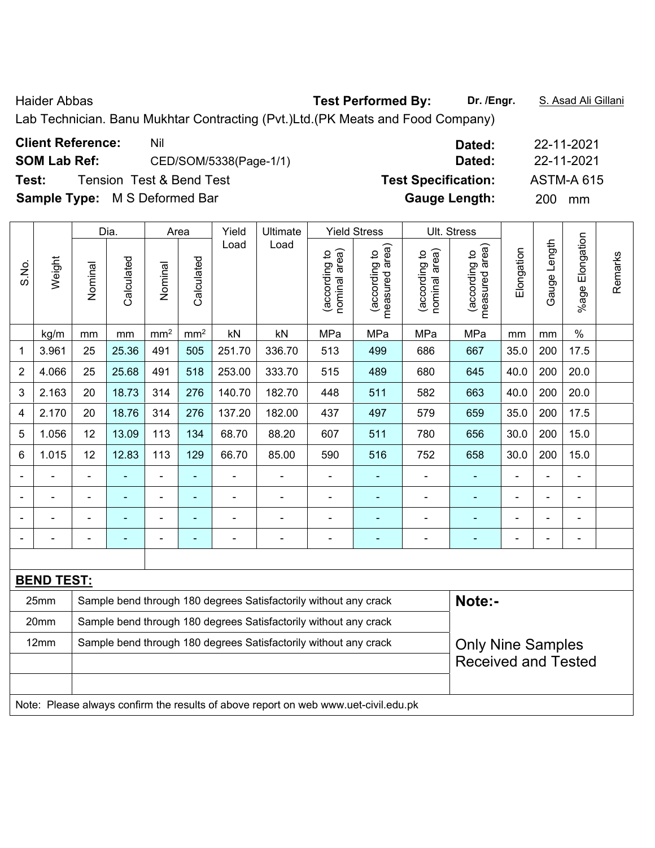Haider Abbas **Test Performed By: Dr. /Engr.** S. Asad Ali Gillani

Lab Technician. Banu Mukhtar Contracting (Pvt.)Ltd.(PK Meats and Food Company)

|       |                     | <b>Client Reference:</b>             | Nil                      |       |          |                     | Dated:                     |  | 22-11-2021 |                   |  |
|-------|---------------------|--------------------------------------|--------------------------|-------|----------|---------------------|----------------------------|--|------------|-------------------|--|
|       | <b>SOM Lab Ref:</b> |                                      | CED/SOM/5338(Page-1/1)   |       |          |                     | Dated:                     |  | 22-11-2021 |                   |  |
| Test: |                     |                                      | Tension Test & Bend Test |       |          |                     | <b>Test Specification:</b> |  |            | <b>ASTM-A 615</b> |  |
|       |                     | <b>Sample Type:</b> M S Deformed Bar |                          |       |          |                     | <b>Gauge Length:</b>       |  | <b>200</b> | mm                |  |
|       |                     |                                      |                          |       |          |                     |                            |  |            |                   |  |
|       |                     | Dia.                                 | Area                     | Yield | Ultimate | <b>Yield Stress</b> | Ult. Stress                |  |            |                   |  |

|                |                   |                                                                  | Dia.       |                              | Area            | Yield  | Ultimate                                                         | Yield Stress                   |                                    | UII. Stress                    |                                    |                          |                |                       |         |
|----------------|-------------------|------------------------------------------------------------------|------------|------------------------------|-----------------|--------|------------------------------------------------------------------|--------------------------------|------------------------------------|--------------------------------|------------------------------------|--------------------------|----------------|-----------------------|---------|
| S.No.          | Weight            | Nominal                                                          | Calculated | Nominal                      | Calculated      | Load   | Load                                                             | nominal area)<br>(according to | area)<br>(according to<br>measured | nominal area)<br>(according to | area)<br>(according to<br>measured | Elongation               | Gauge Length   | Elongation<br>$%$ age | Remarks |
|                | kg/m              | mm                                                               | mm         | mm <sup>2</sup>              | mm <sup>2</sup> | kN     | kN                                                               | MPa                            | MPa                                | MPa                            | MPa                                | mm                       | mm             | $\%$                  |         |
| 1              | 3.961             | 25                                                               | 25.36      | 491                          | 505             | 251.70 | 336.70                                                           | 513                            | 499                                | 686                            | 667                                | 35.0                     | 200            | 17.5                  |         |
| $\overline{2}$ | 4.066             | 25                                                               | 25.68      | 491                          | 518             | 253.00 | 333.70                                                           | 515                            | 489                                | 680                            | 645                                | 40.0                     | 200            | 20.0                  |         |
| 3              | 2.163             | 20                                                               | 18.73      | 314                          | 276             | 140.70 | 182.70                                                           | 448                            | 511                                | 582                            | 663                                | 40.0                     | 200            | 20.0                  |         |
| 4              | 2.170             | 20                                                               | 18.76      | 314                          | 276             | 137.20 | 182.00                                                           | 437                            | 497                                | 579                            | 659                                | 35.0                     | 200            | 17.5                  |         |
| 5              | 1.056             | 12                                                               | 13.09      | 113                          | 134             | 68.70  | 88.20                                                            | 607                            | 511                                | 780                            | 656                                | 30.0                     | 200            | 15.0                  |         |
| 6              | 1.015             | 12                                                               | 12.83      | 113                          | 129             | 66.70  | 85.00                                                            | 590                            | 516                                | 752                            | 658                                | 30.0                     | 200            | 15.0                  |         |
|                |                   |                                                                  |            | ÷,                           |                 |        |                                                                  |                                |                                    |                                |                                    |                          |                | $\blacksquare$        |         |
|                | ۰                 |                                                                  | ۰          | ٠                            | ۰               |        |                                                                  | $\overline{\phantom{a}}$       | $\overline{\phantom{0}}$           | $\overline{\phantom{0}}$       |                                    |                          |                | $\blacksquare$        |         |
|                |                   |                                                                  |            | $\qquad \qquad \blacksquare$ | ۰               |        |                                                                  |                                |                                    |                                |                                    |                          |                | $\blacksquare$        |         |
|                |                   | $\blacksquare$                                                   |            | $\qquad \qquad \blacksquare$ | ۰               |        |                                                                  | $\blacksquare$                 | $\blacksquare$                     | $\overline{\phantom{0}}$       | ۰                                  | $\overline{\phantom{0}}$ | $\blacksquare$ | $\blacksquare$        |         |
|                |                   |                                                                  |            |                              |                 |        |                                                                  |                                |                                    |                                |                                    |                          |                |                       |         |
|                | <b>BEND TEST:</b> |                                                                  |            |                              |                 |        |                                                                  |                                |                                    |                                |                                    |                          |                |                       |         |
|                | 25mm              |                                                                  |            |                              |                 |        | Sample bend through 180 degrees Satisfactorily without any crack |                                |                                    |                                | Note:-                             |                          |                |                       |         |
|                | 20mm              | Sample bend through 180 degrees Satisfactorily without any crack |            |                              |                 |        |                                                                  |                                |                                    |                                |                                    |                          |                |                       |         |
|                | 12mm              |                                                                  |            |                              |                 |        | Sample bend through 180 degrees Satisfactorily without any crack |                                |                                    |                                | <b>Only Nine Samples</b>           |                          |                |                       |         |

Note: Please always confirm the results of above report on web www.uet-civil.edu.pk

Received and Tested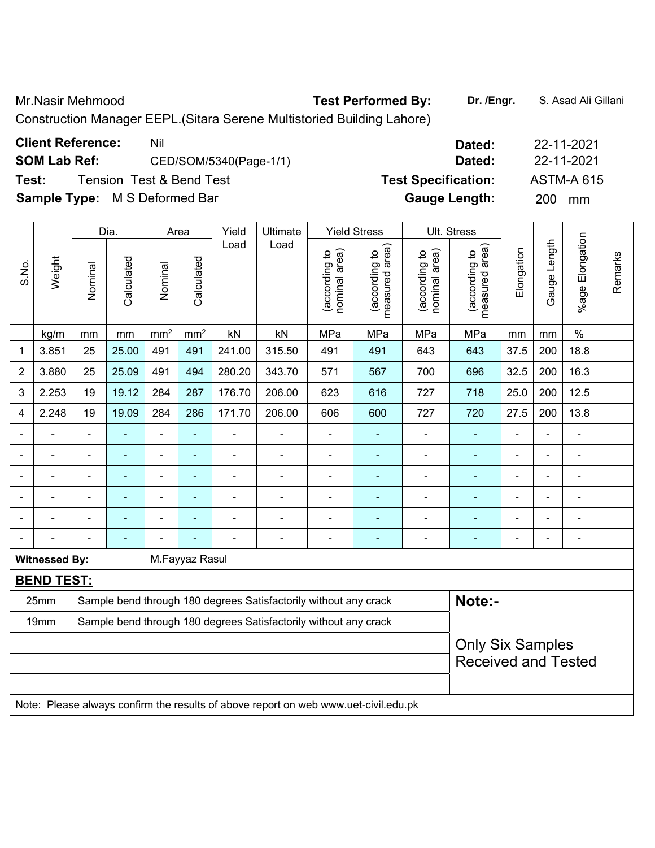# Mr.Nasir Mehmood **Test Performed By:** Dr. /Engr. **S. Asad Ali Gillani**

Construction Manager EEPL.(Sitara Serene Multistoried Building Lahore)

| Dated:                     | 22-11-2021             |
|----------------------------|------------------------|
| Dated:                     | 22-11-2021             |
| <b>Test Specification:</b> | <b>ASTM-A 615</b>      |
| <b>Gauge Length:</b>       | <b>200</b><br>mm       |
|                            | CED/SOM/5340(Page-1/1) |

|       |                      |                | Dia.                                                                                                                      |                 | Area                     | Yield          | Ultimate                                                                            | <b>Yield Stress</b>            |                                 | Ult. Stress                    |                                    |                |                |                 |         |
|-------|----------------------|----------------|---------------------------------------------------------------------------------------------------------------------------|-----------------|--------------------------|----------------|-------------------------------------------------------------------------------------|--------------------------------|---------------------------------|--------------------------------|------------------------------------|----------------|----------------|-----------------|---------|
| S.No. | Weight               | Nominal        | Calculated                                                                                                                | Nominal         | Calculated               | Load           | Load                                                                                | nominal area)<br>(according to | (according to<br>measured area) | nominal area)<br>(according to | area)<br>(according to<br>measured | Elongation     | Gauge Length   | %age Elongation | Remarks |
|       | kg/m                 | mm             | mm                                                                                                                        | mm <sup>2</sup> | mm <sup>2</sup>          | kN             | kN                                                                                  | MPa                            | MPa                             | MPa                            | MPa                                | mm             | mm             | $\%$            |         |
| 1     | 3.851                | 25             | 25.00                                                                                                                     | 491             | 491                      | 241.00         | 315.50                                                                              | 491                            | 491                             | 643                            | 643                                | 37.5           | 200            | 18.8            |         |
| 2     | 3.880                | 25             | 25.09                                                                                                                     | 491             | 494                      | 280.20         | 343.70                                                                              | 571                            | 567                             | 700                            | 696                                | 32.5           | 200            | 16.3            |         |
| 3     | 2.253                | 19             | 19.12                                                                                                                     | 284             | 287                      | 176.70         | 206.00                                                                              | 623                            | 616                             | 727                            | 718                                | 25.0           | 200            | 12.5            |         |
| 4     | 2.248                | 19             | 19.09                                                                                                                     | 284             | 286                      | 171.70         | 206.00                                                                              | 606                            | 600                             | 727                            | 720                                | 27.5           | 200            | 13.8            |         |
|       |                      | $\blacksquare$ |                                                                                                                           |                 |                          | ÷              |                                                                                     |                                |                                 |                                |                                    |                |                | $\blacksquare$  |         |
|       |                      | $\blacksquare$ | $\blacksquare$                                                                                                            | $\blacksquare$  | $\overline{\phantom{0}}$ | $\blacksquare$ | $\overline{\phantom{0}}$                                                            | $\qquad \qquad \blacksquare$   | $\overline{\phantom{0}}$        | $\overline{\phantom{0}}$       | $\overline{\phantom{a}}$           | $\blacksquare$ | $\blacksquare$ | $\blacksquare$  |         |
|       |                      | $\blacksquare$ | $\blacksquare$                                                                                                            | $\blacksquare$  | $\blacksquare$           | ä,             | $\blacksquare$                                                                      | $\blacksquare$                 | $\blacksquare$                  |                                | $\blacksquare$                     | $\blacksquare$ | $\blacksquare$ | $\blacksquare$  |         |
|       | $\blacksquare$       | $\blacksquare$ | $\blacksquare$                                                                                                            | $\blacksquare$  | $\blacksquare$           | ä,             | $\blacksquare$                                                                      | $\blacksquare$                 | $\blacksquare$                  |                                | $\blacksquare$                     | $\blacksquare$ | $\blacksquare$ | $\blacksquare$  |         |
|       |                      |                | $\blacksquare$                                                                                                            | $\blacksquare$  |                          | ä,             |                                                                                     | L,                             | ۰                               |                                | $\blacksquare$                     |                |                | ä,              |         |
|       |                      |                |                                                                                                                           |                 |                          |                |                                                                                     |                                |                                 |                                |                                    |                | $\blacksquare$ | $\blacksquare$  |         |
|       | <b>Witnessed By:</b> |                |                                                                                                                           |                 | M.Fayyaz Rasul           |                |                                                                                     |                                |                                 |                                |                                    |                |                |                 |         |
|       | <b>BEND TEST:</b>    |                |                                                                                                                           |                 |                          |                |                                                                                     |                                |                                 |                                |                                    |                |                |                 |         |
|       | 25mm                 |                |                                                                                                                           |                 |                          |                | Sample bend through 180 degrees Satisfactorily without any crack                    |                                |                                 |                                | Note:-                             |                |                |                 |         |
|       | 19mm                 |                |                                                                                                                           |                 |                          |                |                                                                                     |                                |                                 |                                |                                    |                |                |                 |         |
|       |                      |                | Sample bend through 180 degrees Satisfactorily without any crack<br><b>Only Six Samples</b><br><b>Received and Tested</b> |                 |                          |                |                                                                                     |                                |                                 |                                |                                    |                |                |                 |         |
|       |                      |                |                                                                                                                           |                 |                          |                | Note: Please always confirm the results of above report on web www.uet-civil.edu.pk |                                |                                 |                                |                                    |                |                |                 |         |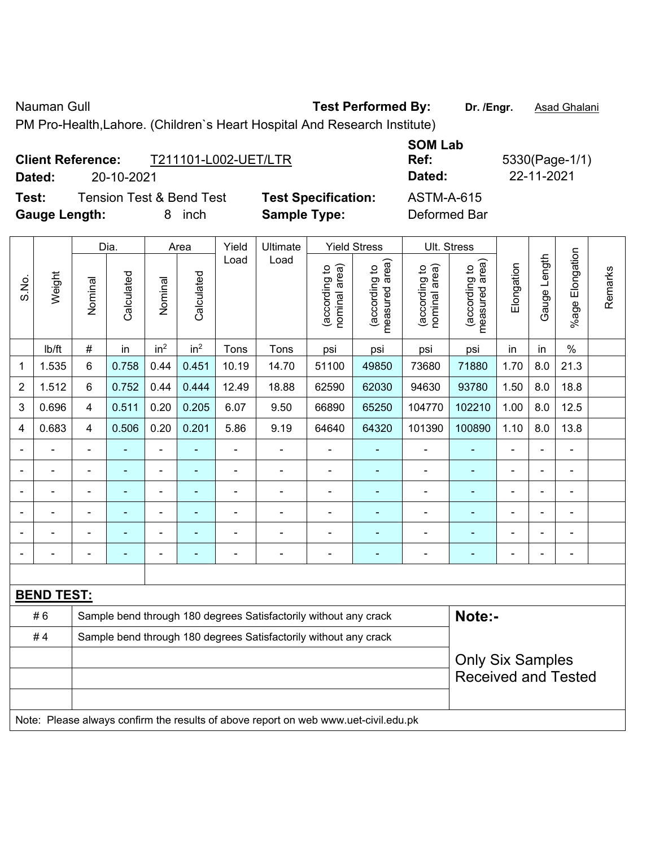Nauman Gull **Nauman Gull Commed By:** Test Performed By: Dr. /Engr. **Asad Ghalani** 

PM Pro-Health,Lahore. (Children`s Heart Hospital And Research Institute)

|                          | <b>Gauge Length:</b>                                                                |                |                | 8                        | inch            |                | <b>Sample Type:</b>                                              |                                |                                 | Deformed Bar                   |                                 |                            |                |                              |         |
|--------------------------|-------------------------------------------------------------------------------------|----------------|----------------|--------------------------|-----------------|----------------|------------------------------------------------------------------|--------------------------------|---------------------------------|--------------------------------|---------------------------------|----------------------------|----------------|------------------------------|---------|
|                          |                                                                                     |                | Dia.           |                          | Area            | Yield          | Ultimate                                                         |                                | <b>Yield Stress</b>             | Ult. Stress                    |                                 |                            |                |                              |         |
| S.No.                    | Weight                                                                              | Nominal        | Calculated     | Nominal                  | Calculated      | Load           | Load                                                             | nominal area)<br>(according to | measured area)<br>(according to | nominal area)<br>(according to | measured area)<br>(according to | Elongation                 | Gauge Length   | %age Elongation              | Remarks |
|                          | Ib/ft                                                                               | $\#$           | in             | in <sup>2</sup>          | in <sup>2</sup> | Tons           | Tons                                                             | psi                            | psi                             | psi                            | psi                             | in                         | in             | $\%$                         |         |
| 1                        | 1.535                                                                               | 6              | 0.758          | 0.44                     | 0.451           | 10.19          | 14.70                                                            | 51100                          | 49850                           | 73680                          | 71880                           | 1.70                       | 8.0            | 21.3                         |         |
| $\overline{2}$           | 1.512                                                                               | 6              | 0.752          | 0.44                     | 0.444           | 12.49          | 18.88                                                            | 62590                          | 62030                           | 94630                          | 93780                           | 1.50                       | 8.0            | 18.8                         |         |
| 3                        | 0.696                                                                               | 4              | 0.511          | 0.20                     | 0.205           | 6.07           | 104770                                                           | 102210                         | 1.00                            | 8.0                            | 12.5                            |                            |                |                              |         |
| 4                        | 0.683                                                                               | 4              | 0.506          | 0.20                     | 0.201           | 5.86           | 101390                                                           | 100890                         | 1.10                            | 8.0                            | 13.8                            |                            |                |                              |         |
| $\overline{\phantom{a}}$ |                                                                                     | $\blacksquare$ | ä,             | ÷                        | ä,              | ä,             | $\blacksquare$                                                   | ÷                              | $\blacksquare$                  | ä,                             | ä,                              |                            |                |                              |         |
| $\overline{\phantom{0}}$ |                                                                                     | $\blacksquare$ | $\blacksquare$ | $\overline{\phantom{a}}$ | ä,              | ÷.             | $\blacksquare$                                                   | ä,                             | ٠                               | $\blacksquare$                 | ÷                               | ä,                         | $\blacksquare$ | $\blacksquare$               |         |
| ÷                        |                                                                                     | $\overline{a}$ |                | -                        | ۰               | $\overline{a}$ |                                                                  | ÷                              | ٠                               |                                |                                 | ÷                          | ÷              | $\blacksquare$               |         |
| $\blacksquare$           |                                                                                     | $\blacksquare$ | $\blacksquare$ | ÷                        | ÷               | $\blacksquare$ | $\blacksquare$                                                   | Ē,                             | ÷                               | $\blacksquare$                 | ÷                               | $\blacksquare$             | ÷              | $\overline{a}$               |         |
|                          |                                                                                     |                |                |                          |                 |                |                                                                  |                                |                                 |                                |                                 |                            |                | $\qquad \qquad \blacksquare$ |         |
| ۰                        |                                                                                     | $\blacksquare$ | $\blacksquare$ |                          | ۰               |                | $\blacksquare$                                                   | $\overline{\phantom{a}}$       | ÷,                              | $\blacksquare$                 | ÷                               | $\blacksquare$             | ÷              | $\blacksquare$               |         |
|                          |                                                                                     |                |                |                          |                 |                |                                                                  |                                |                                 |                                |                                 |                            |                |                              |         |
|                          | <b>BEND TEST:</b>                                                                   |                |                |                          |                 |                |                                                                  |                                |                                 |                                |                                 |                            |                |                              |         |
|                          | #6                                                                                  |                |                |                          |                 |                | Sample bend through 180 degrees Satisfactorily without any crack |                                |                                 |                                | Note:-                          |                            |                |                              |         |
|                          | #4                                                                                  |                |                |                          |                 |                | Sample bend through 180 degrees Satisfactorily without any crack |                                |                                 |                                |                                 |                            |                |                              |         |
|                          |                                                                                     |                |                |                          |                 |                |                                                                  |                                |                                 |                                | <b>Only Six Samples</b>         |                            |                |                              |         |
|                          |                                                                                     |                |                |                          |                 |                |                                                                  |                                |                                 |                                |                                 | <b>Received and Tested</b> |                |                              |         |
|                          |                                                                                     |                |                |                          |                 |                |                                                                  |                                |                                 |                                |                                 |                            |                |                              |         |
|                          | Note: Please always confirm the results of above report on web www.uet-civil.edu.pk |                |                |                          |                 |                |                                                                  |                                |                                 |                                |                                 |                            |                |                              |         |

**Client Reference:** T211101-L002-UET/LTR **Dated:** 20-10-2021 **Dated:** 22-11-2021

**Test:** Tension Test & Bend Test **Test Specification:** ASTM-A-615

**SOM Lab** 

**Ref:** 5330(Page-1/1)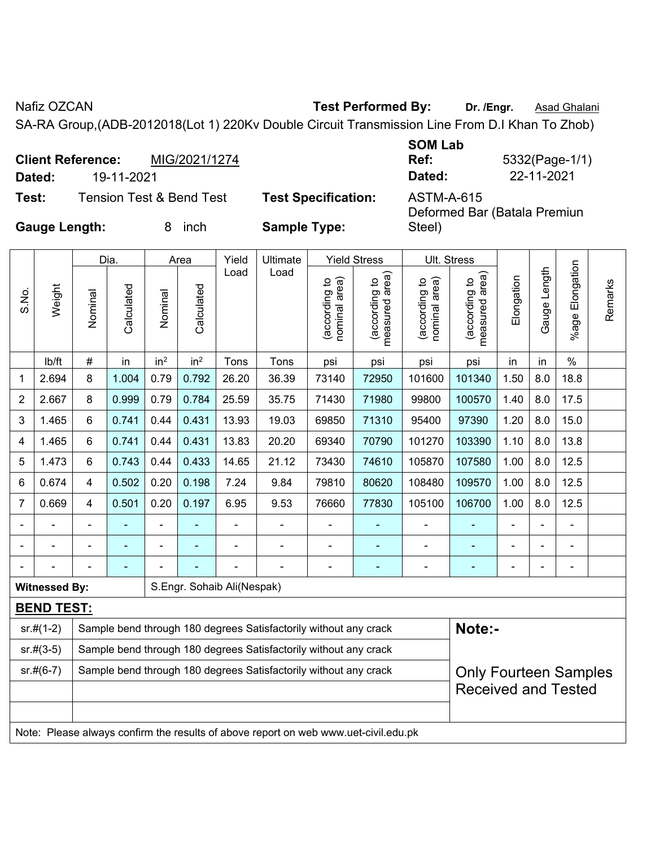Nafiz OZCAN **Test Performed By:** Dr. /Engr. **Asad Ghalani** 

SA-RA Group,(ADB-2012018(Lot 1) 220Kv Double Circuit Transmission Line From D.I Khan To Zhob)

| <b>Client Reference:</b> |            | MIG/2021/1274                       |                            | <b>SOM Lab</b><br>Ref: | 5332(Page-1/1)               |
|--------------------------|------------|-------------------------------------|----------------------------|------------------------|------------------------------|
| Dated:                   | 19-11-2021 |                                     |                            | Dated:                 | 22-11-2021                   |
| Test:                    |            | <b>Tension Test &amp; Bend Test</b> | <b>Test Specification:</b> | ASTM-A-615             | Deformed Bar (Batala Premiun |
| <b>Gauge Length:</b>     |            | inch<br>8.                          | <b>Sample Type:</b>        | Steel)                 |                              |

| Gauge Length: |
|---------------|
|               |
|               |

|                |                      |                                                                                                                       | Dia.                       |                 | Area            | Yield                      | Ult. Stress                                                                         |                                |                                 |                                |                                 |            |              |                      |         |
|----------------|----------------------|-----------------------------------------------------------------------------------------------------------------------|----------------------------|-----------------|-----------------|----------------------------|-------------------------------------------------------------------------------------|--------------------------------|---------------------------------|--------------------------------|---------------------------------|------------|--------------|----------------------|---------|
| S.No.          | Weight               | Nominal                                                                                                               | Calculated                 | Nominal         | Calculated      | Load                       | Load                                                                                | nominal area)<br>(according to | (according to<br>measured area) | nominal area)<br>(according to | (according to<br>measured area) | Elongation | Gauge Length | Elongation<br>%age l | Remarks |
|                | lb/ft                | #                                                                                                                     | in                         | in <sup>2</sup> | in <sup>2</sup> | Tons                       | Tons                                                                                | psi                            | psi                             | psi                            | psi                             | in         | in           | $\%$                 |         |
| 1              | 2.694                | 8                                                                                                                     | 1.004                      | 0.79            | 0.792           | 26.20                      | 36.39                                                                               | 73140                          | 72950                           | 101600                         | 101340                          | 1.50       | 8.0          | 18.8                 |         |
| 2              | 2.667                | 8                                                                                                                     | 0.999                      | 0.79            | 0.784           | 25.59                      | 35.75                                                                               | 71430                          | 71980                           | 99800                          | 100570                          | 1.40       | 8.0          | 17.5                 |         |
| 3              | 1.465                | 6                                                                                                                     | 0.741                      | 0.44            | 0.431           | 13.93                      | 19.03                                                                               | 69850                          | 71310                           | 95400                          | 97390                           | 1.20       | 8.0          | 15.0                 |         |
| 4              | 1.465                | 6                                                                                                                     | 0.741                      | 0.44            | 0.431           | 13.83                      | 20.20                                                                               | 69340                          | 70790                           | 101270                         | 103390                          | 1.10       | 8.0          | 13.8                 |         |
| 5              | 1.473                | 6                                                                                                                     | 0.743                      | 0.44            | 0.433           | 14.65                      | 21.12                                                                               | 73430                          | 74610                           | 105870                         | 107580                          | 1.00       | 8.0          | 12.5                 |         |
| 6              | 0.674                | 0.502<br>0.20<br>0.198<br>80620<br>108480<br>109570<br>1.00<br>8.0<br>12.5<br>7.24<br>9.84<br>79810<br>$\overline{4}$ |                            |                 |                 |                            |                                                                                     |                                |                                 |                                |                                 |            |              |                      |         |
| $\overline{7}$ | 0.669                | 4                                                                                                                     | 0.501                      | 0.20            | 0.197           | 6.95                       | 9.53                                                                                | 76660                          | 77830                           | 105100                         | 106700                          | 1.00       | 8.0          | 12.5                 |         |
|                |                      |                                                                                                                       |                            |                 |                 |                            |                                                                                     |                                |                                 |                                |                                 |            |              |                      |         |
|                |                      |                                                                                                                       |                            |                 |                 |                            |                                                                                     |                                |                                 |                                |                                 |            |              |                      |         |
|                |                      |                                                                                                                       |                            |                 |                 |                            |                                                                                     | -                              | $\overline{\phantom{0}}$        |                                |                                 |            |              | $\blacksquare$       |         |
|                | <b>Witnessed By:</b> |                                                                                                                       |                            |                 |                 | S.Engr. Sohaib Ali(Nespak) |                                                                                     |                                |                                 |                                |                                 |            |              |                      |         |
|                | <b>BEND TEST:</b>    |                                                                                                                       |                            |                 |                 |                            |                                                                                     |                                |                                 |                                |                                 |            |              |                      |         |
|                | $sr.#(1-2)$          |                                                                                                                       |                            |                 |                 |                            | Sample bend through 180 degrees Satisfactorily without any crack                    |                                |                                 |                                | Note:-                          |            |              |                      |         |
|                | $sr.#(3-5)$          |                                                                                                                       |                            |                 |                 |                            | Sample bend through 180 degrees Satisfactorily without any crack                    |                                |                                 |                                |                                 |            |              |                      |         |
|                | $sr.#(6-7)$          |                                                                                                                       |                            |                 |                 |                            | Sample bend through 180 degrees Satisfactorily without any crack                    |                                |                                 |                                | <b>Only Fourteen Samples</b>    |            |              |                      |         |
|                |                      |                                                                                                                       | <b>Received and Tested</b> |                 |                 |                            |                                                                                     |                                |                                 |                                |                                 |            |              |                      |         |
|                |                      |                                                                                                                       |                            |                 |                 |                            |                                                                                     |                                |                                 |                                |                                 |            |              |                      |         |
|                |                      |                                                                                                                       |                            |                 |                 |                            | Note: Please always confirm the results of above report on web www.uet-civil.edu.pk |                                |                                 |                                |                                 |            |              |                      |         |
|                |                      |                                                                                                                       |                            |                 |                 |                            |                                                                                     |                                |                                 |                                |                                 |            |              |                      |         |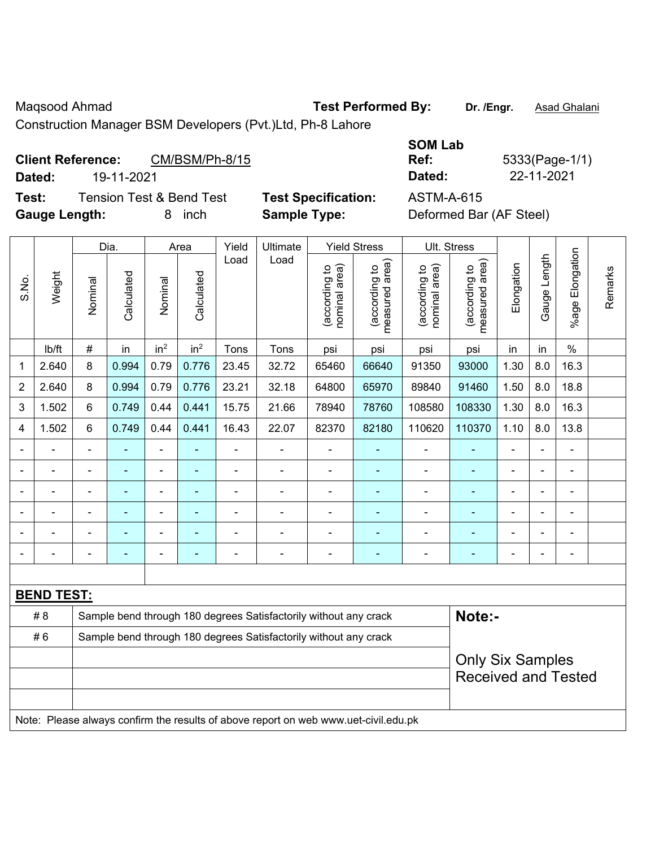Maqsood Ahmad **Test Performed By:** Dr. /Engr. **Asad Ghalani** 

Construction Manager BSM Developers (Pvt.)Ltd, Ph-8 Lahore

## Client Reference: CM/BSM/Ph-8/15

**Test:** Tension Test & Bend Test **Test Specification: Gauge Length:** 8 inch **Sample Type:** Deformed Bar (AF Steel)

|        |                                            |                            | <b>SOM Lab</b>         |
|--------|--------------------------------------------|----------------------------|------------------------|
|        | <b>Client Reference:</b><br>CM/BSM/Ph-8/15 |                            | 5333(Page-1/1)<br>Ref: |
| Dated: | 19-11-2021                                 |                            | 22-11-2021<br>Dated:   |
| Test:  | Tension Test & Bend Test                   | <b>Test Specification:</b> | ASTM-A-615             |

|                |                   |                                                                                     | Dia.           |                          | Area                                                  | Yield                                                            | Ult. Stress                                                      |                                |                                 |                                |                                             |                |              |                       |         |
|----------------|-------------------|-------------------------------------------------------------------------------------|----------------|--------------------------|-------------------------------------------------------|------------------------------------------------------------------|------------------------------------------------------------------|--------------------------------|---------------------------------|--------------------------------|---------------------------------------------|----------------|--------------|-----------------------|---------|
| S.No.          | Weight            | Nominal                                                                             | Calculated     | Nominal                  | Calculated                                            | Load                                                             | Load                                                             | nominal area)<br>(according to | (according to<br>measured area) | nominal area)<br>(according to | (according to<br>neasured area)<br>measured | Elongation     | Gauge Length | Elongation<br>$%$ age | Remarks |
|                | lb/ft             | $\#$                                                                                | in             | in <sup>2</sup>          | in <sup>2</sup>                                       | Tons                                                             | Tons                                                             | psi                            | psi                             | psi                            | psi                                         | in             | in           | $\frac{0}{0}$         |         |
| 1              | 2.640             | 8                                                                                   | 0.994          | 0.79                     | 0.776                                                 | 23.45                                                            | 32.72                                                            | 65460                          | 66640                           | 91350                          | 93000                                       | 1.30           | 8.0          | 16.3                  |         |
| $\overline{2}$ | 2.640             | 8                                                                                   | 0.994          | 0.79                     | 0.776                                                 | 23.21                                                            | 32.18                                                            | 64800                          | 65970                           | 89840                          | 91460                                       | 1.50           | 8.0          | 18.8                  |         |
| 3              | 1.502             | 6                                                                                   | 0.749          | 0.44                     | 0.441                                                 | 15.75                                                            | 21.66                                                            | 78940                          | 78760                           | 108580                         | 108330                                      | 1.30           | 8.0          | 16.3                  |         |
| 4              | 1.502             | 6                                                                                   | 0.749          | 0.44                     | 0.441                                                 | 16.43                                                            | 22.07                                                            | 82370                          | 82180                           | 110620                         | 110370                                      | 1.10           | 8.0          | 13.8                  |         |
|                |                   | $\blacksquare$                                                                      | ÷,             | $\blacksquare$           |                                                       | L,                                                               | $\blacksquare$                                                   | $\blacksquare$                 |                                 | $\blacksquare$                 | $\blacksquare$                              | $\blacksquare$ |              | ä,                    |         |
|                | ä,                | $\blacksquare$                                                                      | $\blacksquare$ | ä,                       | ◆                                                     | L.                                                               | $\blacksquare$                                                   | $\blacksquare$                 | ÷                               | $\blacksquare$                 | $\blacksquare$                              | $\overline{a}$ |              | ä,                    |         |
|                |                   |                                                                                     | $\overline{a}$ | ä,                       |                                                       | L,                                                               | $\blacksquare$                                                   | $\blacksquare$                 |                                 | $\blacksquare$                 | ä,                                          | $\blacksquare$ |              | $\blacksquare$        |         |
|                |                   |                                                                                     |                | ä,                       |                                                       |                                                                  |                                                                  |                                |                                 | $\blacksquare$                 |                                             |                |              |                       |         |
|                |                   | $\overline{\phantom{0}}$                                                            | $\blacksquare$ |                          |                                                       |                                                                  | $\blacksquare$                                                   | $\blacksquare$                 | $\overline{\phantom{0}}$        | $\overline{\phantom{a}}$       | ٠                                           |                |              | $\blacksquare$        |         |
| $\blacksquare$ |                   | $\blacksquare$                                                                      | $\blacksquare$ | $\overline{\phantom{a}}$ |                                                       | $\blacksquare$                                                   | $\blacksquare$                                                   | $\blacksquare$                 | ٠                               | $\blacksquare$                 | $\blacksquare$                              | $\blacksquare$ |              | $\blacksquare$        |         |
|                |                   |                                                                                     |                |                          |                                                       |                                                                  |                                                                  |                                |                                 |                                |                                             |                |              |                       |         |
|                | <b>BEND TEST:</b> |                                                                                     |                |                          |                                                       |                                                                  |                                                                  |                                |                                 |                                |                                             |                |              |                       |         |
|                | # 8               |                                                                                     |                |                          |                                                       |                                                                  | Sample bend through 180 degrees Satisfactorily without any crack |                                |                                 |                                | Note:-                                      |                |              |                       |         |
|                | #6                |                                                                                     |                |                          |                                                       | Sample bend through 180 degrees Satisfactorily without any crack |                                                                  |                                |                                 |                                |                                             |                |              |                       |         |
|                |                   |                                                                                     |                |                          | <b>Only Six Samples</b><br><b>Received and Tested</b> |                                                                  |                                                                  |                                |                                 |                                |                                             |                |              |                       |         |
|                |                   | Note: Please always confirm the results of above report on web www.uet-civil.edu.pk |                |                          |                                                       |                                                                  |                                                                  |                                |                                 |                                |                                             |                |              |                       |         |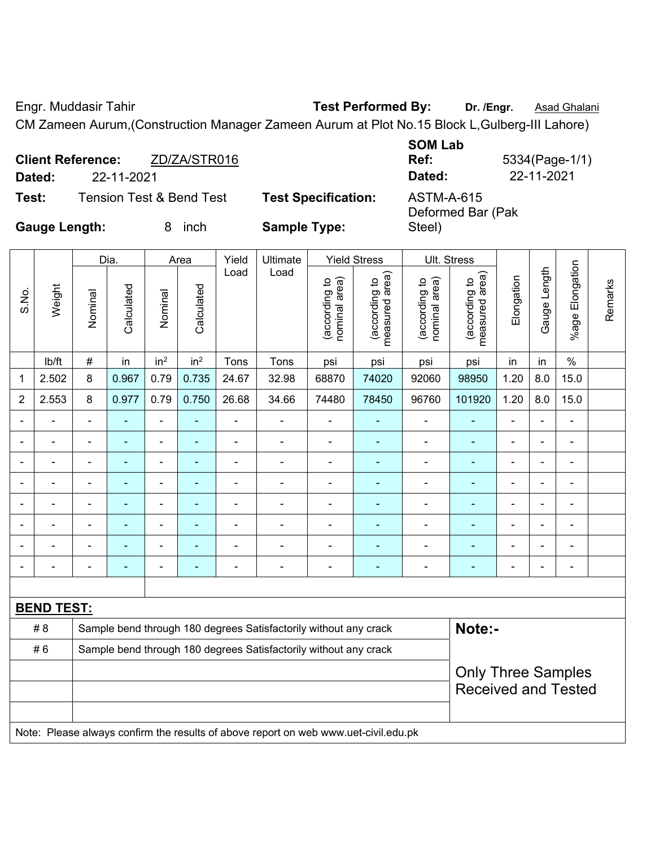Engr. Muddasir Tahir **Test Performed By: Dr. /Engr.** Asad Ghalani

CM Zameen Aurum,(Construction Manager Zameen Aurum at Plot No.15 Block L,Gulberg-III Lahore)

| Dated:               | <b>Client Reference:</b><br>22-11-2021 | ZD/ZA/STR016             |                            | <b>SOM Lab</b><br>Ref:<br>Dated: | 5334(Page-1/1)<br>22-11-2021 |
|----------------------|----------------------------------------|--------------------------|----------------------------|----------------------------------|------------------------------|
| Test:                |                                        | Tension Test & Bend Test | <b>Test Specification:</b> | ASTM-A-615<br>Deformed Bar (Pak  |                              |
| <b>Gauge Length:</b> |                                        | inch                     | <b>Sample Type:</b>        | Steel)                           |                              |

|                | Dia.<br>Yield<br>Ultimate<br><b>Yield Stress</b><br>Ult. Stress<br>Area |                |                |                 |                 |                |                                                                                     |                                |                                 |                                |                                 |                |                |                 |         |
|----------------|-------------------------------------------------------------------------|----------------|----------------|-----------------|-----------------|----------------|-------------------------------------------------------------------------------------|--------------------------------|---------------------------------|--------------------------------|---------------------------------|----------------|----------------|-----------------|---------|
|                |                                                                         |                |                |                 |                 |                |                                                                                     |                                |                                 |                                |                                 |                |                |                 |         |
| S.No.          | Weight                                                                  | Nominal        | Calculated     | Nominal         | Calculated      | Load           | Load                                                                                | (according to<br>nominal area) | measured area)<br>(according to | nominal area)<br>(according to | (according to<br>measured area) | Elongation     | Gauge Length   | %age Elongation | Remarks |
|                | lb/ft                                                                   | $\#$           | in             | in <sup>2</sup> | in <sup>2</sup> | Tons           | Tons                                                                                | psi                            | psi                             | psi                            | psi                             | in             | in             | $\%$            |         |
| 1              | 2.502                                                                   | 8              | 0.967          | 0.79            | 0.735           | 24.67          | 32.98                                                                               | 68870                          | 74020                           | 92060                          | 98950                           | 1.20           | 8.0            | 15.0            |         |
| $\overline{2}$ | 2.553                                                                   | 8              | 0.977          | 0.79            | 0.750           | 26.68          | 34.66                                                                               | 74480                          | 78450                           | 96760                          | 101920                          | 1.20           | 8.0            | 15.0            |         |
|                |                                                                         | $\blacksquare$ | ä,             | ä,              |                 | L,             |                                                                                     |                                |                                 |                                | ä,                              | $\blacksquare$ |                |                 |         |
|                |                                                                         |                |                | ÷               |                 | $\blacksquare$ | $\blacksquare$                                                                      | ÷                              |                                 |                                |                                 |                |                | $\blacksquare$  |         |
| $\blacksquare$ |                                                                         |                |                | ÷               |                 | $\blacksquare$ |                                                                                     | Ē,                             |                                 | $\blacksquare$                 |                                 | ۰              |                |                 |         |
| $\overline{a}$ |                                                                         |                |                | $\blacksquare$  |                 | ä,             |                                                                                     | $\blacksquare$                 |                                 | $\blacksquare$                 |                                 | $\blacksquare$ | $\blacksquare$ | $\blacksquare$  |         |
| $\blacksquare$ |                                                                         | $\blacksquare$ | $\blacksquare$ | ÷               | ٠               | ä,             | $\blacksquare$                                                                      | $\blacksquare$                 | ÷                               | $\blacksquare$                 |                                 | $\blacksquare$ | $\blacksquare$ | $\blacksquare$  |         |
| $\blacksquare$ |                                                                         | $\blacksquare$ | $\blacksquare$ | ä,              | ÷               | ä,             | ä,                                                                                  | $\blacksquare$                 | ۰                               | $\blacksquare$                 | $\blacksquare$                  | $\blacksquare$ | $\blacksquare$ | ä,              |         |
|                |                                                                         |                | $\blacksquare$ | ÷               |                 | ä,             | $\blacksquare$                                                                      | L,                             | ÷                               | $\overline{\phantom{0}}$       |                                 | $\blacksquare$ |                | ÷               |         |
| $\blacksquare$ |                                                                         | $\blacksquare$ | $\blacksquare$ | -               | ٠               | $\blacksquare$ | $\blacksquare$                                                                      | ä,                             | ٠                               | $\blacksquare$                 | $\blacksquare$                  | $\blacksquare$ | ä,             | $\blacksquare$  |         |
|                |                                                                         |                |                |                 |                 |                |                                                                                     |                                |                                 |                                |                                 |                |                |                 |         |
|                | <b>BEND TEST:</b>                                                       |                |                |                 |                 |                |                                                                                     |                                |                                 |                                |                                 |                |                |                 |         |
|                | # 8                                                                     |                |                |                 |                 |                | Sample bend through 180 degrees Satisfactorily without any crack                    |                                |                                 |                                | Note:-                          |                |                |                 |         |
|                | #6                                                                      |                |                |                 |                 |                | Sample bend through 180 degrees Satisfactorily without any crack                    |                                |                                 |                                |                                 |                |                |                 |         |
|                |                                                                         |                |                |                 |                 |                |                                                                                     |                                |                                 |                                | <b>Only Three Samples</b>       |                |                |                 |         |
|                |                                                                         |                |                |                 |                 |                |                                                                                     |                                |                                 |                                | <b>Received and Tested</b>      |                |                |                 |         |
|                |                                                                         |                |                |                 |                 |                |                                                                                     |                                |                                 |                                |                                 |                |                |                 |         |
|                |                                                                         |                |                |                 |                 |                | Note: Please always confirm the results of above report on web www.uet-civil.edu.pk |                                |                                 |                                |                                 |                |                |                 |         |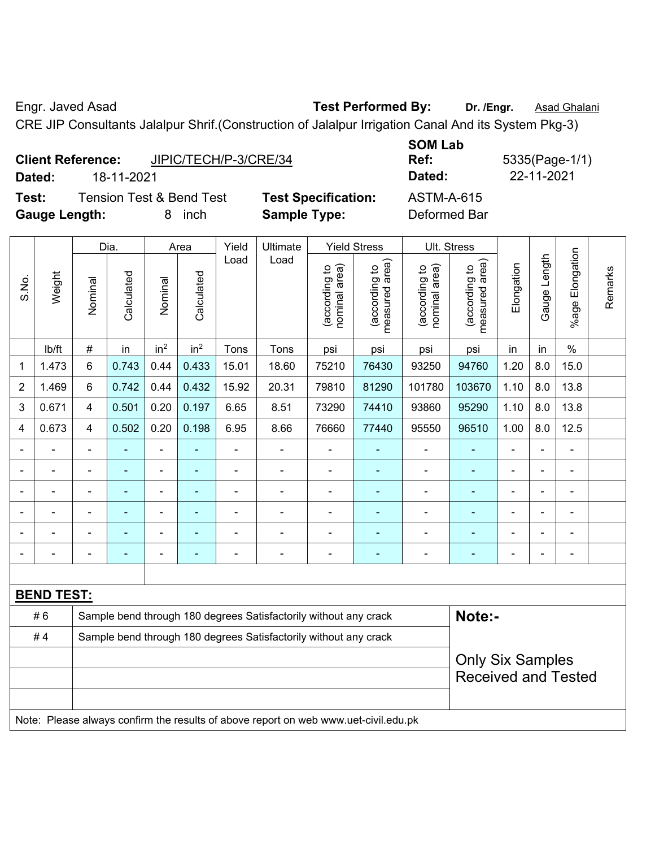Engr. Javed Asad **Test Performed By:** Dr. /Engr. **Asad Ghalani** 

CRE JIP Consultants Jalalpur Shrif.(Construction of Jalalpur Irrigation Canal And its System Pkg-3)

|                      | <b>Client Reference:</b> | JIPIC/TECH/P-3/CRE/34               |                       |
|----------------------|--------------------------|-------------------------------------|-----------------------|
| Dated:               | 18-11-2021               |                                     |                       |
| Test:                |                          | <b>Tension Test &amp; Bend Test</b> | <b>Test Specifica</b> |
| <b>Gauge Length:</b> |                          | 8 inch                              | <b>Sample Type:</b>   |

**SOM Lab Dated:** 18-11-2021 **Dated:** 22-11-2021 **Text:** Test Extend Test Specification:  $\overline{A}$ 

**Ref:** 5335(Page-1/1)

| d Stress | Ult. Stress |  |
|----------|-------------|--|
|          |             |  |

|                |                                                                                     |                         | Dia.           |                 | Area            | Yield          | Ultimate                                                         |                                | <b>Yield Stress</b>                         |                                | Ult. Stress                     |                |                |                      |         |
|----------------|-------------------------------------------------------------------------------------|-------------------------|----------------|-----------------|-----------------|----------------|------------------------------------------------------------------|--------------------------------|---------------------------------------------|--------------------------------|---------------------------------|----------------|----------------|----------------------|---------|
| S.No.          | Weight                                                                              | Nominal                 | Calculated     | Nominal         | Calculated      | Load           | Load                                                             | (according to<br>nominal area) | (according to<br>neasured area)<br>measured | (according to<br>nominal area) | measured area)<br>(according to | Elongation     | Gauge Length   | Elongation<br>%age l | Remarks |
|                | lb/ft                                                                               | #                       | in             | in <sup>2</sup> | in <sup>2</sup> | Tons           | Tons                                                             | psi                            | psi                                         | psi                            | psi                             | in             | in             | $\%$                 |         |
| 1              | 1.473                                                                               | 6                       | 0.743          | 0.44            | 0.433           | 15.01          | 18.60                                                            | 75210                          | 76430                                       | 93250                          | 94760                           | 1.20           | 8.0            | 15.0                 |         |
| $\overline{2}$ | 1.469                                                                               | 6                       | 0.742          | 0.44            | 0.432           | 15.92          | 20.31                                                            | 79810                          | 81290                                       | 101780                         | 103670                          | 1.10           | 8.0            | 13.8                 |         |
| 3              | 0.671                                                                               | 4                       | 0.501          | 0.20            | 0.197           | 6.65           | 8.51                                                             | 73290                          | 74410                                       | 93860                          | 95290                           | 1.10           | 8.0            | 13.8                 |         |
| 4              | 0.673                                                                               | $\overline{4}$          | 0.502          | 0.20            | 0.198           | 6.95           | 8.66                                                             | 76660                          | 77440                                       | 95550                          | 96510                           | 1.00           | 8.0            | 12.5                 |         |
|                |                                                                                     |                         |                |                 |                 |                |                                                                  |                                |                                             |                                |                                 |                |                |                      |         |
|                |                                                                                     |                         |                | ä,              |                 |                | $\blacksquare$                                                   |                                |                                             |                                |                                 |                |                |                      |         |
| Ē,             | $\blacksquare$                                                                      | $\blacksquare$          | ÷              | ÷,              | ÷               | $\blacksquare$ | L.                                                               | $\blacksquare$                 | ۰                                           | $\blacksquare$                 | ۰                               | $\blacksquare$ | $\blacksquare$ | ۰                    |         |
|                | L,                                                                                  | $\blacksquare$          | $\blacksquare$ | ÷,              |                 | $\blacksquare$ | $\overline{a}$                                                   | $\blacksquare$                 | ۰                                           | $\blacksquare$                 | ۰                               | $\blacksquare$ | $\blacksquare$ | ۰                    |         |
|                | $\blacksquare$                                                                      |                         | ۰              | ÷,              |                 | ä,             | $\blacksquare$                                                   | $\blacksquare$                 | ۰                                           | $\blacksquare$                 | ÷                               |                | $\blacksquare$ | ÷                    |         |
|                |                                                                                     |                         |                | Ē,              | Ē.              | Ē,             | $\overline{a}$                                                   |                                | ۰                                           |                                |                                 |                | Ē,             |                      |         |
|                |                                                                                     |                         |                |                 |                 |                |                                                                  |                                |                                             |                                |                                 |                |                |                      |         |
|                | <b>BEND TEST:</b>                                                                   |                         |                |                 |                 |                |                                                                  |                                |                                             |                                |                                 |                |                |                      |         |
|                | #6                                                                                  |                         |                |                 |                 |                | Sample bend through 180 degrees Satisfactorily without any crack |                                |                                             |                                | Note:-                          |                |                |                      |         |
|                | #4                                                                                  |                         |                |                 |                 |                | Sample bend through 180 degrees Satisfactorily without any crack |                                |                                             |                                |                                 |                |                |                      |         |
|                |                                                                                     | <b>Only Six Samples</b> |                |                 |                 |                |                                                                  |                                |                                             |                                |                                 |                |                |                      |         |
|                |                                                                                     |                         |                |                 |                 |                |                                                                  |                                |                                             |                                | <b>Received and Tested</b>      |                |                |                      |         |
|                |                                                                                     |                         |                |                 |                 |                |                                                                  |                                |                                             |                                |                                 |                |                |                      |         |
|                | Note: Please always confirm the results of above report on web www.uet-civil.edu.pk |                         |                |                 |                 |                |                                                                  |                                |                                             |                                |                                 |                |                |                      |         |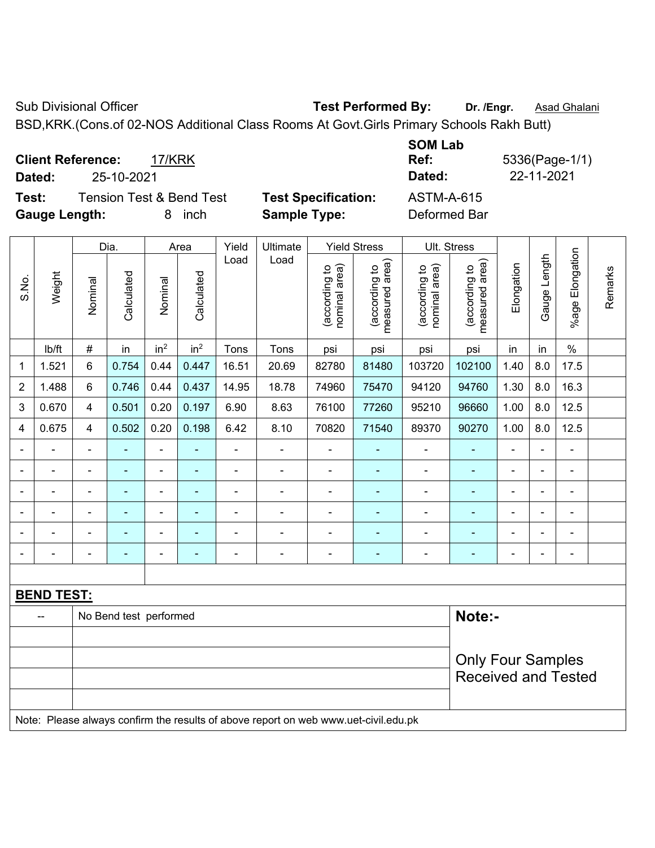Sub Divisional Officer **Test Performed By:** Dr. /Engr. **Asad Ghalani** 

BSD,KRK.(Cons.of 02-NOS Additional Class Rooms At Govt.Girls Primary Schools Rakh Butt)

**Client Reference:** 17/KRK **SOM Lab Ref:** 5336(Page-1/1) **Dated:** 25-10-2021 **Dated:** 22-11-2021 **Test:** Tension Test & Bend Test **Test Specification:** ASTM-A-615 **Gauge Length:** 8 inch **Sample Type:** Deformed Bar

|                |                                                                                     |                | Dia.                   |                              | Area                     | Yield          | Ultimate                 |                                | <b>Yield Stress</b>             |                                | Ult. Stress                     |                |                |                      |         |
|----------------|-------------------------------------------------------------------------------------|----------------|------------------------|------------------------------|--------------------------|----------------|--------------------------|--------------------------------|---------------------------------|--------------------------------|---------------------------------|----------------|----------------|----------------------|---------|
| S.No.          | Weight                                                                              | Nominal        | Calculated             | Nominal                      | Calculated               | Load           | Load                     | nominal area)<br>(according to | (according to<br>measured area) | nominal area)<br>(according to | (according to<br>measured area) | Elongation     | Gauge Length   | Elongation<br>%age l | Remarks |
|                | lb/ft                                                                               | $\#$           | in                     | in <sup>2</sup>              | in <sup>2</sup>          | Tons           | Tons                     | psi                            | psi                             | psi                            | psi                             | in             | in             | $\%$                 |         |
| 1              | 1.521                                                                               | 6              | 0.754                  | 0.44                         | 0.447                    | 16.51          | 20.69                    | 82780                          | 81480                           | 103720                         | 102100                          | 1.40           | 8.0            | 17.5                 |         |
| $\overline{2}$ | 1.488                                                                               | 6              | 0.746                  | 0.44                         | 0.437                    | 14.95          | 18.78                    | 74960                          | 75470                           | 94120                          | 94760                           | 1.30           | 8.0            | 16.3                 |         |
| 3              | 0.670                                                                               | $\overline{4}$ | 0.501                  | 0.20                         | 0.197                    | 6.90           | 8.63                     | 76100                          | 77260                           | 95210                          | 96660                           | 1.00           | 8.0            | 12.5                 |         |
| 4              | 0.675                                                                               | $\overline{4}$ | 0.502                  | 0.20                         | 0.198                    | 6.42           | 8.10                     | 70820                          | 71540                           | 89370                          | 90270                           | 1.00           | 8.0            | 12.5                 |         |
|                | $\blacksquare$                                                                      | $\blacksquare$ | ÷,                     | ÷,                           | $\blacksquare$           | ä,             | $\blacksquare$           | $\blacksquare$                 | ٠                               | $\overline{\phantom{a}}$       | ÷                               | $\blacksquare$ | $\blacksquare$ | ä,                   |         |
|                | $\blacksquare$                                                                      | $\blacksquare$ | $\blacksquare$         | $\overline{\phantom{0}}$     | ۰                        | $\blacksquare$ | $\overline{\phantom{a}}$ | $\blacksquare$                 | ۰                               | $\blacksquare$                 | $\blacksquare$                  | $\blacksquare$ | $\blacksquare$ | $\blacksquare$       |         |
|                | $\blacksquare$                                                                      | $\blacksquare$ | ÷,                     | $\qquad \qquad \blacksquare$ | ۰                        | ä,             | $\blacksquare$           | $\overline{\phantom{a}}$       | ٠                               | $\overline{\phantom{a}}$       | ÷                               | $\blacksquare$ |                | $\blacksquare$       |         |
|                | $\blacksquare$                                                                      | $\blacksquare$ | ä,                     | $\overline{\phantom{a}}$     | $\overline{\phantom{0}}$ | ä,             | $\blacksquare$           | $\overline{\phantom{a}}$       | ٠                               | $\blacksquare$                 | ٠                               | $\blacksquare$ |                | $\blacksquare$       |         |
|                |                                                                                     |                | $\overline{a}$         | ä,                           |                          |                | $\blacksquare$           | ä,                             |                                 |                                |                                 |                |                |                      |         |
|                |                                                                                     |                |                        | -                            | $\overline{\phantom{0}}$ | $\blacksquare$ | $\blacksquare$           | $\blacksquare$                 | ۰                               | ٠                              | ٠                               | $\blacksquare$ |                | $\blacksquare$       |         |
|                |                                                                                     |                |                        |                              |                          |                |                          |                                |                                 |                                |                                 |                |                |                      |         |
|                | <b>BEND TEST:</b>                                                                   |                |                        |                              |                          |                |                          |                                |                                 |                                |                                 |                |                |                      |         |
|                |                                                                                     |                | No Bend test performed |                              |                          |                |                          |                                |                                 |                                | Note:-                          |                |                |                      |         |
|                |                                                                                     |                |                        |                              |                          |                |                          |                                |                                 |                                |                                 |                |                |                      |         |
|                |                                                                                     |                |                        |                              |                          |                |                          |                                |                                 |                                | <b>Only Four Samples</b>        |                |                |                      |         |
|                |                                                                                     |                |                        |                              |                          |                |                          |                                |                                 |                                | <b>Received and Tested</b>      |                |                |                      |         |
|                |                                                                                     |                |                        |                              |                          |                |                          |                                |                                 |                                |                                 |                |                |                      |         |
|                | Note: Please always confirm the results of above report on web www.uet-civil.edu.pk |                |                        |                              |                          |                |                          |                                |                                 |                                |                                 |                |                |                      |         |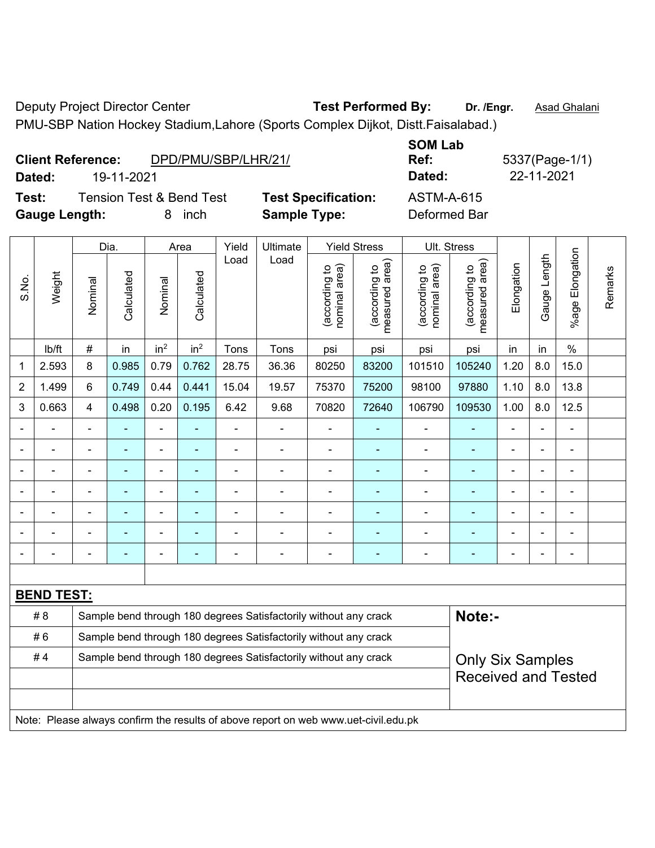Deputy Project Director Center **Test Performed By:** Dr. /Engr. **Asad Ghalani** 

PMU-SBP Nation Hockey Stadium,Lahore (Sports Complex Dijkot, Distt.Faisalabad.)

|        | <b>Client Reference:</b>            | DPD/PMU/SBP/LHR/21/        | <b>SUM LAD</b><br>Ref: |
|--------|-------------------------------------|----------------------------|------------------------|
| Dated: | 19-11-2021                          |                            | Dated:                 |
| Test:  | <b>Tension Test &amp; Bend Test</b> | <b>Test Specification:</b> | ASTM-A-615             |

**Gauge Length:** 8 inch **Sample Type:** Deformed Bar

**SOM Lab Dated:** 19-11-2021 **Dated:** 22-11-2021

**Ref:** 5337(Page-1/1)

┑

|                |                                                                                     |                                                                                             | Dia.           |                 | Area                     | Yield          | Ultimate                                                         |                               | <b>Yield Stress</b>                |                                | Ult. Stress                     |                |                |                              |         |
|----------------|-------------------------------------------------------------------------------------|---------------------------------------------------------------------------------------------|----------------|-----------------|--------------------------|----------------|------------------------------------------------------------------|-------------------------------|------------------------------------|--------------------------------|---------------------------------|----------------|----------------|------------------------------|---------|
| S.No.          | Weight                                                                              | Nominal                                                                                     | Calculated     | Nominal         | Calculated               | Load           | Load                                                             | nominal area)<br>according to | area)<br>(according to<br>measured | (according to<br>nominal area) | measured area)<br>(according to | Elongation     | Gauge Length   | Elongation<br>%age I         | Remarks |
|                | lb/ft                                                                               | $\#$                                                                                        | in             | in <sup>2</sup> | in <sup>2</sup>          | Tons           | Tons                                                             | psi                           | psi                                | psi                            | psi                             | in             | in             | $\%$                         |         |
| 1              | 2.593                                                                               | 8                                                                                           | 0.985          | 0.79            | 0.762                    | 28.75          | 36.36                                                            | 80250                         | 83200                              | 101510                         | 105240                          | 1.20           | 8.0            | 15.0                         |         |
| $\overline{2}$ | 1.499                                                                               | 6                                                                                           | 0.749          | 0.44            | 0.441                    | 15.04          | 19.57                                                            | 75370                         | 75200                              | 98100                          | 97880                           | 1.10           | 8.0            | 13.8                         |         |
| 3              | 0.663                                                                               | $\overline{4}$                                                                              | 0.498          | 0.20            | 0.195                    | 6.42           | 9.68                                                             | 70820                         | 72640                              | 106790                         | 109530                          | 1.00           | 8.0            | 12.5                         |         |
|                | $\blacksquare$                                                                      |                                                                                             | $\blacksquare$ | ÷,              | $\blacksquare$           | $\frac{1}{2}$  | ÷,                                                               |                               | $\overline{\phantom{a}}$           | $\blacksquare$                 | $\blacksquare$                  | $\blacksquare$ | $\blacksquare$ | ÷,                           |         |
|                |                                                                                     | $\blacksquare$                                                                              | ä,             | $\frac{1}{2}$   | ä,                       | L,             | ÷,                                                               | ä,                            | $\blacksquare$                     | ä,                             | ÷                               | $\blacksquare$ |                | ä,                           |         |
|                |                                                                                     |                                                                                             | ä,             | ä,              | $\overline{\phantom{a}}$ | L,             | $\blacksquare$                                                   | $\blacksquare$                | ÷,                                 | $\blacksquare$                 | $\blacksquare$                  | $\blacksquare$ |                | $\blacksquare$               |         |
|                |                                                                                     |                                                                                             |                | ÷               |                          |                |                                                                  |                               |                                    |                                |                                 |                |                |                              |         |
|                |                                                                                     |                                                                                             | ٠              | -               |                          | $\blacksquare$ | $\blacksquare$                                                   | $\blacksquare$                |                                    | $\qquad \qquad \blacksquare$   | ۰                               | $\blacksquare$ |                | $\blacksquare$               |         |
|                |                                                                                     | $\blacksquare$                                                                              | $\blacksquare$ | $\blacksquare$  | ٠                        | ä,             | $\blacksquare$                                                   | $\blacksquare$                | $\blacksquare$                     | $\blacksquare$                 | ۰                               | $\blacksquare$ | $\blacksquare$ | $\blacksquare$               |         |
|                |                                                                                     | $\overline{\phantom{0}}$                                                                    | ÷              | $\blacksquare$  | Ē.                       | $\blacksquare$ | $\blacksquare$                                                   | -                             | ٠                                  | $\blacksquare$                 | $\blacksquare$                  | $\blacksquare$ |                | $\qquad \qquad \blacksquare$ |         |
|                |                                                                                     |                                                                                             |                |                 |                          |                |                                                                  |                               |                                    |                                |                                 |                |                |                              |         |
|                | <b>BEND TEST:</b>                                                                   |                                                                                             |                |                 |                          |                |                                                                  |                               |                                    |                                |                                 |                |                |                              |         |
|                | # 8                                                                                 |                                                                                             |                |                 |                          |                | Sample bend through 180 degrees Satisfactorily without any crack |                               |                                    |                                | Note:-                          |                |                |                              |         |
|                | #6                                                                                  |                                                                                             |                |                 |                          |                | Sample bend through 180 degrees Satisfactorily without any crack |                               |                                    |                                |                                 |                |                |                              |         |
|                | #4                                                                                  | Sample bend through 180 degrees Satisfactorily without any crack<br><b>Only Six Samples</b> |                |                 |                          |                |                                                                  |                               |                                    |                                |                                 |                |                |                              |         |
|                |                                                                                     |                                                                                             |                |                 |                          |                |                                                                  |                               |                                    |                                | <b>Received and Tested</b>      |                |                |                              |         |
|                |                                                                                     |                                                                                             |                |                 |                          |                |                                                                  |                               |                                    |                                |                                 |                |                |                              |         |
|                | Note: Please always confirm the results of above report on web www.uet-civil.edu.pk |                                                                                             |                |                 |                          |                |                                                                  |                               |                                    |                                |                                 |                |                |                              |         |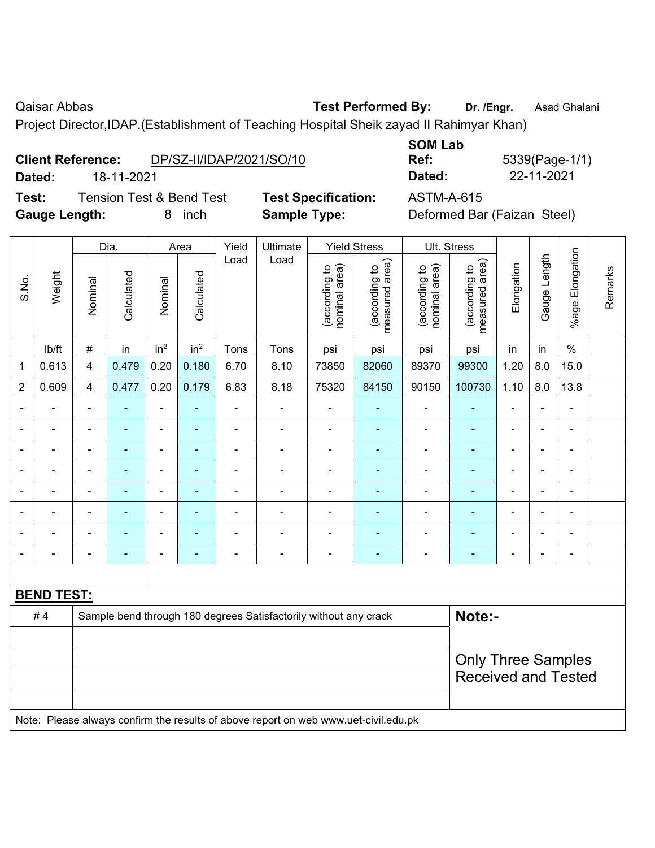Qaisar Abbas **Test Performed By:** Dr. /Engr. **Asad Ghalani** Caisar Abbas **Number 2018** 

Project Director,IDAP.(Establishment of Teaching Hospital Sheik zayad II Rahimyar Khan)

| <b>Client Reference:</b> |            | DP/SZ-II/IDAP/2021/SO/10 |
|--------------------------|------------|--------------------------|
| Dated:                   | 18-11-2021 |                          |

**Test:** Tension Test & Bend Test **Test Specification:** ASTM-A-615 **Gauge Length:** 8 inch **Sample Type:** Deformed Bar (Faizan Steel)

| <b>SOM Lab</b> |                |
|----------------|----------------|
| Ref:           | 5339(Page-1/1) |
| Dated:         | 22-11-2021     |

Dia. | Area | Yield | Ultimate | Yield Stress | Ult. Stress %age Elongation %age Elongation Gauge Length Gauge Length Load Load (according to<br>measured area) measured area) (according to<br>measured area) measured area) (according to<br>nominal area) (according to<br>nominal area) Elongation **Elongation** nominal area) nominal area) (according to (according to (according to (according to Remarks Remarks **Calculated Calculated** Weight Calculated Calculated S.No. Nominal Nominal Vominal Vominal <code>ib/ft</code>  $\mid$  #  $\mid$  in  $\mid$  in<sup>2</sup>  $\mid$  in<sup>2</sup>  $\mid$  Tons  $\mid$  psi  $\mid$  psi  $\mid$  psi  $\mid$  psi  $\mid$  in  $\mid$  in  $\mid$  % 1 | 0.613 | 4 | 0.479 | 0.20 | 0.180 | 6.70 | 8.10 | 73850 | 82060 | 89370 | 99300 | 1.20 | 8.0 | 15.0 2 | 0.609 | 4 | 0.477 | 0.20 | 0.179 | 6.83 | 8.18 | 75320 | 84150 | 90150 | 100730 | 1.10 | 8.0 | 13.8 - - - - - - - - - - - - - - - - - - - - - - - - - - - - - - - - - - - - - - - - - - - - - - - - - - - - - - - - - - - - - - - - - - - - - - - - - - - - - - - - - - - - - - - - - - - - - - - - - - - - - - - - - - - - - - - - - - - - - - - - **BEND TEST:**  # 4 Sample bend through 180 degrees Satisfactorily without any crack **Note:-**Only Three Samples Received and Tested

Note: Please always confirm the results of above report on web www.uet-civil.edu.pk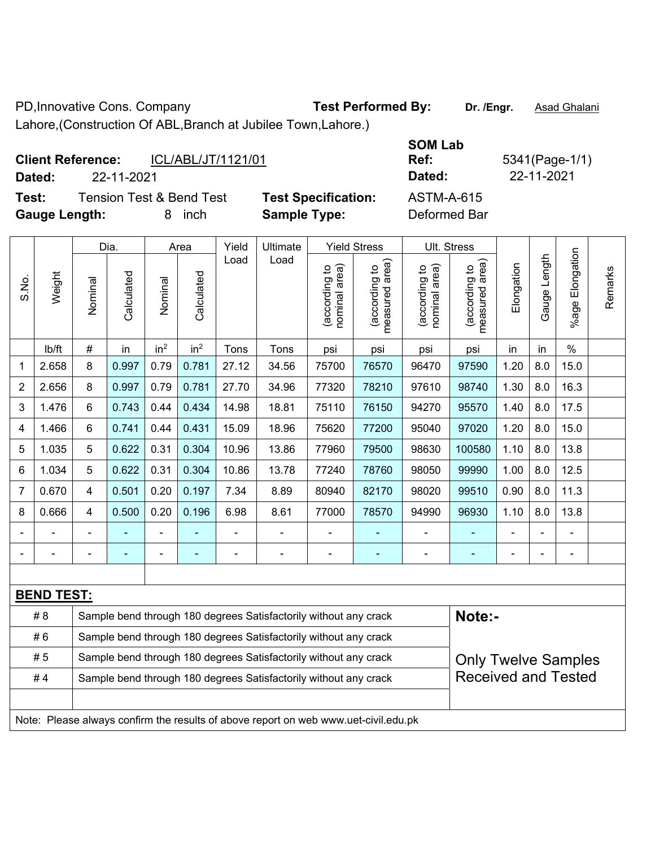PD, Innovative Cons. Company **Test Performed By:** Dr. /Engr. **Asad Ghalani** 

Lahore,(Construction Of ABL,Branch at Jubilee Town,Lahore.)

| <b>Client Reference:</b> |            | ICL/ABL/JT/1121/01                  |                            | <b>SOM Lab</b><br>Ref: | 5341(Page-1/1) |
|--------------------------|------------|-------------------------------------|----------------------------|------------------------|----------------|
| Dated:                   | 22-11-2021 |                                     |                            | Dated:                 | 22-11-2021     |
| Test:                    |            | <b>Tension Test &amp; Bend Test</b> | <b>Test Specification:</b> | <b>ASTM-A-615</b>      |                |
| <b>Gauge Length:</b>     |            | inch<br>8.                          | <b>Sample Type:</b>        | Deformed Bar           |                |

|                |                   |                | Dia.                     |                 | Area            | Yield          | Ultimate                                                                            |                                | <b>Yield Stress</b>             |                                | Ult. Stress                                 |                |              |                       |         |
|----------------|-------------------|----------------|--------------------------|-----------------|-----------------|----------------|-------------------------------------------------------------------------------------|--------------------------------|---------------------------------|--------------------------------|---------------------------------------------|----------------|--------------|-----------------------|---------|
| S.No.          | Weight            | Nominal        | Calculated               | Nominal         | Calculated      | Load           | Load                                                                                | nominal area)<br>(according to | measured area)<br>(according to | (according to<br>nominal area) | (according to<br>measured area)<br>measured | Elongation     | Gauge Length | Elongation<br>$%$ age | Remarks |
|                | lb/ft             | #              | in                       | in <sup>2</sup> | in <sup>2</sup> | Tons           | Tons                                                                                | psi                            | psi                             | psi                            | psi                                         | in             | in           | $\%$                  |         |
| 1              | 2.658             | 8              | 0.997                    | 0.79            | 0.781           | 27.12          | 34.56                                                                               | 75700                          | 76570                           | 96470                          | 97590                                       | 1.20           | 8.0          | 15.0                  |         |
| $\overline{2}$ | 2.656             | 8              | 0.997                    | 0.79            | 0.781           | 27.70          | 34.96                                                                               | 77320                          | 78210                           | 97610                          | 98740                                       | 1.30           | 8.0          | 16.3                  |         |
| 3              | 1.476             | 6              | 0.743                    | 0.44            | 0.434           | 14.98          | 18.81                                                                               | 75110                          | 76150                           | 94270                          | 95570                                       | 1.40           | 8.0          | 17.5                  |         |
| 4              | 1.466             | 6              | 0.741                    | 0.44            | 0.431           | 15.09          | 18.96                                                                               | 75620                          | 77200                           | 95040                          | 97020                                       | 1.20           | 8.0          | 15.0                  |         |
| 5              | 1.035             | 5              | 0.622                    | 0.31            | 0.304           | 10.96          | 13.86                                                                               | 77960                          | 79500                           | 98630                          | 100580                                      | 1.10           | 8.0          | 13.8                  |         |
| 6              | 1.034             | 5              | 0.622                    | 0.31            | 0.304           | 10.86          | 13.78                                                                               | 77240                          | 78760                           | 98050                          | 99990                                       | 1.00           | 8.0          | 12.5                  |         |
| $\overline{7}$ | 0.670             | $\overline{4}$ | 0.501                    | 0.20            | 0.197           | 7.34           | 8.89                                                                                | 80940                          | 82170                           | 98020                          | 99510                                       | 0.90           | 8.0          | 11.3                  |         |
| 8              | 0.666             | 4              | 0.500                    | 0.20            | 0.196           | 6.98           | 8.61                                                                                | 77000                          | 78570                           | 94990                          | 96930                                       | 1.10           | 8.0          | 13.8                  |         |
| Ē,             |                   | $\blacksquare$ |                          |                 |                 | $\blacksquare$ | $\frac{1}{2}$                                                                       | $\blacksquare$                 |                                 | $\blacksquare$                 |                                             | $\blacksquare$ |              | ÷,                    |         |
|                |                   |                | $\overline{\phantom{0}}$ | $\blacksquare$  | $\blacksquare$  | $\blacksquare$ | $\qquad \qquad \blacksquare$                                                        | $\blacksquare$                 | $\blacksquare$                  | $\blacksquare$                 | $\frac{1}{2}$                               | ÷              |              | $\blacksquare$        |         |
|                |                   |                |                          |                 |                 |                |                                                                                     |                                |                                 |                                |                                             |                |              |                       |         |
|                | <b>BEND TEST:</b> |                |                          |                 |                 |                |                                                                                     |                                |                                 |                                |                                             |                |              |                       |         |
|                | # 8               |                |                          |                 |                 |                | Sample bend through 180 degrees Satisfactorily without any crack                    |                                |                                 |                                | Note:-                                      |                |              |                       |         |
|                | #6                |                |                          |                 |                 |                | Sample bend through 180 degrees Satisfactorily without any crack                    |                                |                                 |                                |                                             |                |              |                       |         |
|                | # 5               |                |                          |                 |                 |                | Sample bend through 180 degrees Satisfactorily without any crack                    |                                |                                 |                                | <b>Only Twelve Samples</b>                  |                |              |                       |         |
|                | #4                |                |                          |                 |                 |                | Sample bend through 180 degrees Satisfactorily without any crack                    |                                |                                 |                                | <b>Received and Tested</b>                  |                |              |                       |         |
|                |                   |                |                          |                 |                 |                |                                                                                     |                                |                                 |                                |                                             |                |              |                       |         |
|                |                   |                |                          |                 |                 |                | Note: Please always confirm the results of above report on web www.uet-civil.edu.pk |                                |                                 |                                |                                             |                |              |                       |         |